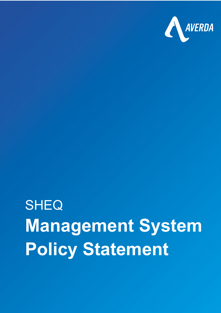

## **SHEQ Management System Policy Statement**